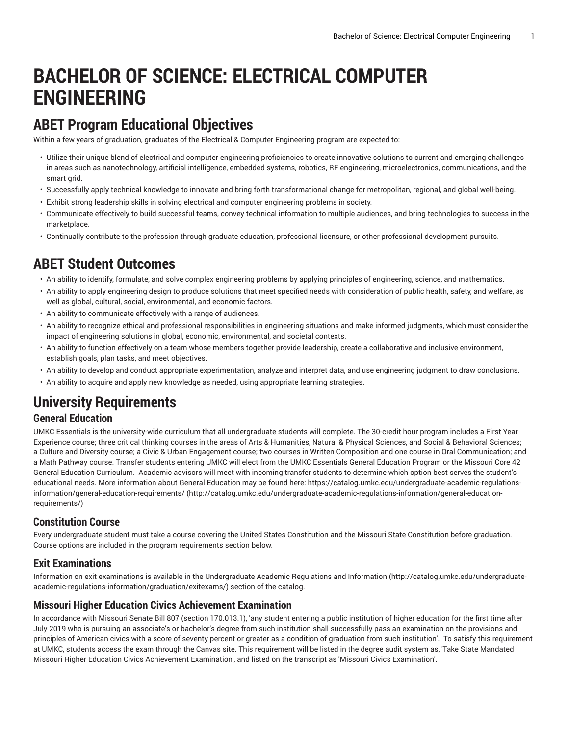# **BACHELOR OF SCIENCE: ELECTRICAL COMPUTER ENGINEERING**

## **ABET Program Educational Objectives**

Within a few years of graduation, graduates of the Electrical & Computer Engineering program are expected to:

- Utilize their unique blend of electrical and computer engineering proficiencies to create innovative solutions to current and emerging challenges in areas such as nanotechnology, artificial intelligence, embedded systems, robotics, RF engineering, microelectronics, communications, and the smart grid.
- Successfully apply technical knowledge to innovate and bring forth transformational change for metropolitan, regional, and global well-being.
- Exhibit strong leadership skills in solving electrical and computer engineering problems in society.
- Communicate effectively to build successful teams, convey technical information to multiple audiences, and bring technologies to success in the marketplace.
- Continually contribute to the profession through graduate education, professional licensure, or other professional development pursuits.

### **ABET Student Outcomes**

- An ability to identify, formulate, and solve complex engineering problems by applying principles of engineering, science, and mathematics.
- An ability to apply engineering design to produce solutions that meet specified needs with consideration of public health, safety, and welfare, as well as global, cultural, social, environmental, and economic factors.
- An ability to communicate effectively with a range of audiences.
- An ability to recognize ethical and professional responsibilities in engineering situations and make informed judgments, which must consider the impact of engineering solutions in global, economic, environmental, and societal contexts.
- An ability to function effectively on a team whose members together provide leadership, create a collaborative and inclusive environment, establish goals, plan tasks, and meet objectives.
- An ability to develop and conduct appropriate experimentation, analyze and interpret data, and use engineering judgment to draw conclusions.
- An ability to acquire and apply new knowledge as needed, using appropriate learning strategies.

# **University Requirements**

#### **General Education**

UMKC Essentials is the university-wide curriculum that all undergraduate students will complete. The 30-credit hour program includes a First Year Experience course; three critical thinking courses in the areas of Arts & Humanities, Natural & Physical Sciences, and Social & Behavioral Sciences; a Culture and Diversity course; a Civic & Urban Engagement course; two courses in Written Composition and one course in Oral Communication; and a Math Pathway course. Transfer students entering UMKC will elect from the UMKC Essentials General Education Program or the Missouri Core 42 General Education Curriculum. Academic advisors will meet with incoming transfer students to determine which option best serves the student's educational needs. More information about General Education may be found here: [https://catalog.umkc.edu/undergraduate-academic-regulations](http://catalog.umkc.edu/undergraduate-academic-regulations-information/general-education-requirements/)[information/general-education-requirements/](http://catalog.umkc.edu/undergraduate-academic-regulations-information/general-education-requirements/) ([http://catalog.umkc.edu/undergraduate-academic-regulations-information/general-education](http://catalog.umkc.edu/undergraduate-academic-regulations-information/general-education-requirements/)[requirements/\)](http://catalog.umkc.edu/undergraduate-academic-regulations-information/general-education-requirements/)

#### **Constitution Course**

Every undergraduate student must take a course covering the United States Constitution and the Missouri State Constitution before graduation. Course options are included in the program requirements section below.

#### **Exit Examinations**

Information on exit examinations is available in the [Undergraduate](http://catalog.umkc.edu/undergraduate-academic-regulations-information/graduation/exitexams/) Academic Regulations and Information [\(http://catalog.umkc.edu/undergraduate](http://catalog.umkc.edu/undergraduate-academic-regulations-information/graduation/exitexams/)[academic-regulations-information/graduation/exitexams/](http://catalog.umkc.edu/undergraduate-academic-regulations-information/graduation/exitexams/)) section of the catalog.

#### **Missouri Higher Education Civics Achievement Examination**

In accordance with Missouri Senate Bill 807 (section 170.013.1), 'any student entering a public institution of higher education for the first time after July 2019 who is pursuing an associate's or bachelor's degree from such institution shall successfully pass an examination on the provisions and principles of American civics with a score of seventy percent or greater as a condition of graduation from such institution'. To satisfy this requirement at UMKC, students access the exam through the Canvas site. This requirement will be listed in the degree audit system as, 'Take State Mandated Missouri Higher Education Civics Achievement Examination', and listed on the transcript as 'Missouri Civics Examination'.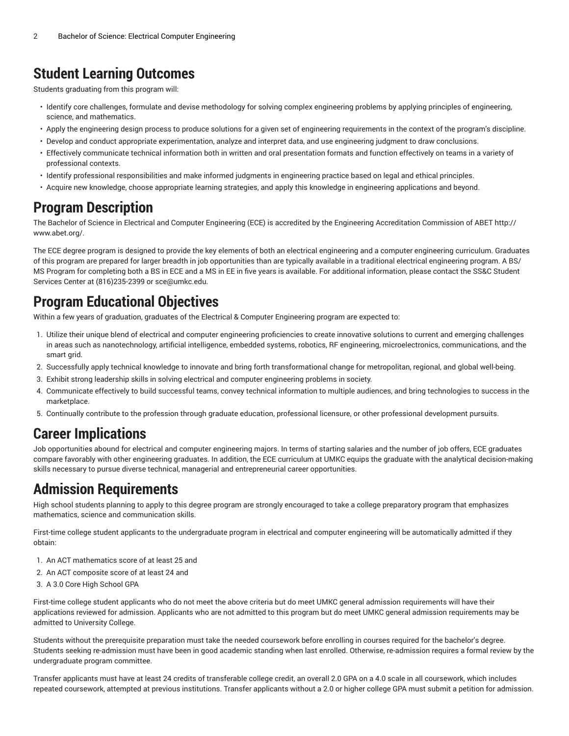### **Student Learning Outcomes**

Students graduating from this program will:

- Identify core challenges, formulate and devise methodology for solving complex engineering problems by applying principles of engineering, science, and mathematics.
- Apply the engineering design process to produce solutions for a given set of engineering requirements in the context of the program's discipline.
- Develop and conduct appropriate experimentation, analyze and interpret data, and use engineering judgment to draw conclusions.
- Effectively communicate technical information both in written and oral presentation formats and function effectively on teams in a variety of professional contexts.
- Identify professional responsibilities and make informed judgments in engineering practice based on legal and ethical principles.
- Acquire new knowledge, choose appropriate learning strategies, and apply this knowledge in engineering applications and beyond.

### **Program Description**

The Bachelor of Science in Electrical and Computer Engineering (ECE) is accredited by the Engineering Accreditation Commission of ABET [http://](http://www.abet.org/) [www.abet.org/.](http://www.abet.org/)

The ECE degree program is designed to provide the key elements of both an electrical engineering and a computer engineering curriculum. Graduates of this program are prepared for larger breadth in job opportunities than are typically available in a traditional electrical engineering program. A BS/ MS Program for completing both a BS in ECE and a MS in EE in five years is available. For additional information, please contact the SS&C Student Services Center at (816)235-2399 or [sce@umkc.edu](mailto:sce@umkc.edu).

# **Program Educational Objectives**

Within a few years of graduation, graduates of the Electrical & Computer Engineering program are expected to:

- 1. Utilize their unique blend of electrical and computer engineering proficiencies to create innovative solutions to current and emerging challenges in areas such as nanotechnology, artificial intelligence, embedded systems, robotics, RF engineering, microelectronics, communications, and the smart grid.
- 2. Successfully apply technical knowledge to innovate and bring forth transformational change for metropolitan, regional, and global well-being.
- 3. Exhibit strong leadership skills in solving electrical and computer engineering problems in society.
- 4. Communicate effectively to build successful teams, convey technical information to multiple audiences, and bring technologies to success in the marketplace.
- 5. Continually contribute to the profession through graduate education, professional licensure, or other professional development pursuits.

### **Career Implications**

Job opportunities abound for electrical and computer engineering majors. In terms of starting salaries and the number of job offers, ECE graduates compare favorably with other engineering graduates. In addition, the ECE curriculum at UMKC equips the graduate with the analytical decision-making skills necessary to pursue diverse technical, managerial and entrepreneurial career opportunities.

### **Admission Requirements**

High school students planning to apply to this degree program are strongly encouraged to take a college preparatory program that emphasizes mathematics, science and communication skills.

First-time college student applicants to the undergraduate program in electrical and computer engineering will be automatically admitted if they obtain:

- 1. An ACT mathematics score of at least 25 and
- 2. An ACT composite score of at least 24 and
- 3. A 3.0 Core High School GPA

First-time college student applicants who do not meet the above criteria but do meet UMKC general admission requirements will have their applications reviewed for admission. Applicants who are not admitted to this program but do meet UMKC general admission requirements may be admitted to University College.

Students without the prerequisite preparation must take the needed coursework before enrolling in courses required for the bachelor's degree. Students seeking re-admission must have been in good academic standing when last enrolled. Otherwise, re-admission requires a formal review by the undergraduate program committee.

Transfer applicants must have at least 24 credits of transferable college credit, an overall 2.0 GPA on a 4.0 scale in all coursework, which includes repeated coursework, attempted at previous institutions. Transfer applicants without a 2.0 or higher college GPA must submit a petition for admission.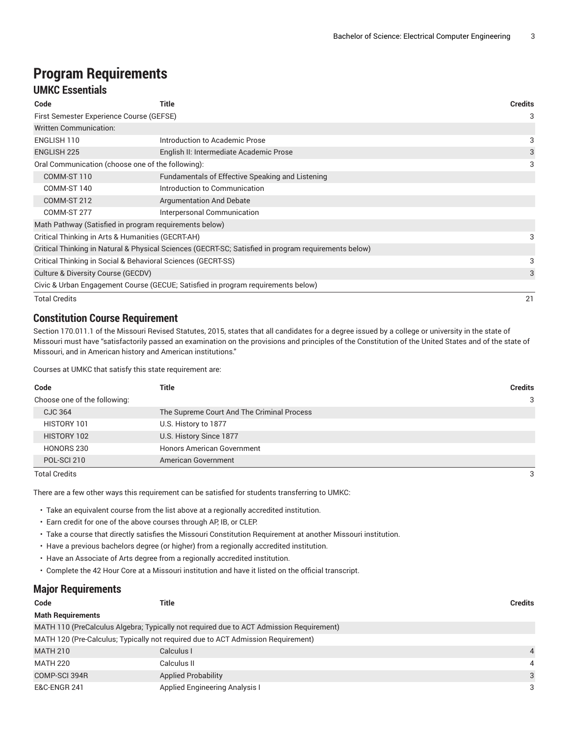# **Program Requirements**

#### **UMKC Essentials**

| Code                                                            | Title                                                                                                | <b>Credits</b> |
|-----------------------------------------------------------------|------------------------------------------------------------------------------------------------------|----------------|
| First Semester Experience Course (GEFSE)                        |                                                                                                      | 3              |
| <b>Written Communication:</b>                                   |                                                                                                      |                |
| ENGLISH 110                                                     | Introduction to Academic Prose                                                                       | 3              |
| <b>ENGLISH 225</b>                                              | English II: Intermediate Academic Prose                                                              | 3              |
| Oral Communication (choose one of the following):               |                                                                                                      | 3              |
| COMM-ST 110<br>Fundamentals of Effective Speaking and Listening |                                                                                                      |                |
| COMM-ST 140                                                     | Introduction to Communication                                                                        |                |
| COMM-ST 212                                                     | <b>Argumentation And Debate</b>                                                                      |                |
| COMM-ST 277                                                     | Interpersonal Communication                                                                          |                |
| Math Pathway (Satisfied in program requirements below)          |                                                                                                      |                |
| Critical Thinking in Arts & Humanities (GECRT-AH)               |                                                                                                      | 3              |
|                                                                 | Critical Thinking in Natural & Physical Sciences (GECRT-SC; Satisfied in program requirements below) |                |
| Critical Thinking in Social & Behavioral Sciences (GECRT-SS)    |                                                                                                      | 3              |
| Culture & Diversity Course (GECDV)                              |                                                                                                      | 3              |
|                                                                 | Civic & Urban Engagement Course (GECUE; Satisfied in program requirements below)                     |                |
| <b>Total Credits</b>                                            |                                                                                                      | 21             |

#### **Constitution Course Requirement**

Section 170.011.1 of the Missouri Revised Statutes, 2015, states that all candidates for a degree issued by a college or university in the state of Missouri must have "satisfactorily passed an examination on the provisions and principles of the Constitution of the United States and of the state of Missouri, and in American history and American institutions."

Courses at UMKC that satisfy this state requirement are:

| Code                         | Title                                      | <b>Credits</b> |
|------------------------------|--------------------------------------------|----------------|
| Choose one of the following: |                                            | 3              |
| CJC 364                      | The Supreme Court And The Criminal Process |                |
| HISTORY 101                  | U.S. History to 1877                       |                |
| HISTORY 102                  | U.S. History Since 1877                    |                |
| HONORS 230                   | <b>Honors American Government</b>          |                |
| POL-SCI 210                  | American Government                        |                |

Total Credits 3

There are a few other ways this requirement can be satisfied for students transferring to UMKC:

• Take an equivalent course from the list above at a regionally accredited institution.

- Earn credit for one of the above courses through AP, IB, or CLEP.
- Take a course that directly satisfies the Missouri Constitution Requirement at another Missouri institution.
- Have a previous bachelors degree (or higher) from a regionally accredited institution.
- Have an Associate of Arts degree from a regionally accredited institution.
- Complete the 42 Hour Core at a Missouri institution and have it listed on the official transcript.

#### **Major Requirements**

| Code                     | Title                                                                                   | <b>Credits</b> |
|--------------------------|-----------------------------------------------------------------------------------------|----------------|
| <b>Math Requirements</b> |                                                                                         |                |
|                          | MATH 110 (PreCalculus Algebra; Typically not required due to ACT Admission Requirement) |                |
|                          | MATH 120 (Pre-Calculus; Typically not required due to ACT Admission Requirement)        |                |
| <b>MATH 210</b>          | Calculus I                                                                              | $\overline{4}$ |
| <b>MATH 220</b>          | Calculus II                                                                             | $\overline{4}$ |
| COMP-SCI 394R            | <b>Applied Probability</b>                                                              | 3              |
| <b>E&amp;C-ENGR 241</b>  | <b>Applied Engineering Analysis I</b>                                                   | 3              |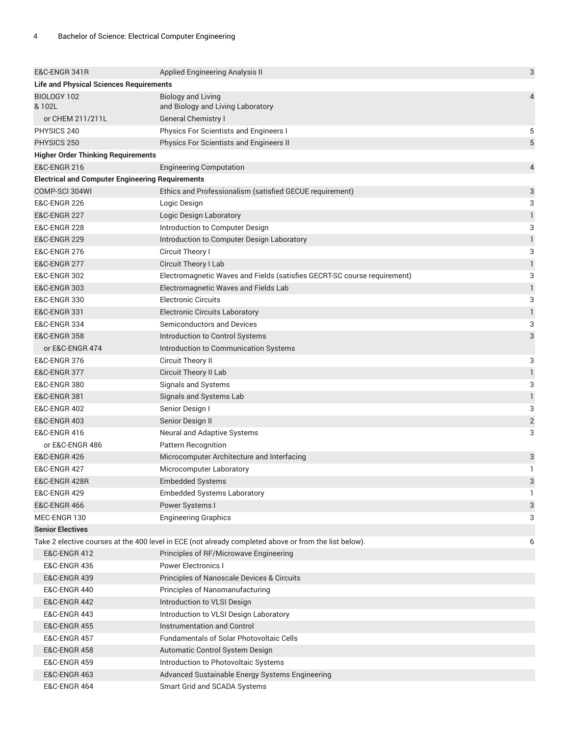| E&C-ENGR 341R                                                             | Applied Engineering Analysis II                                                                       | 3                         |
|---------------------------------------------------------------------------|-------------------------------------------------------------------------------------------------------|---------------------------|
| <b>Life and Physical Sciences Requirements</b>                            |                                                                                                       |                           |
| BIOLOGY 102                                                               | <b>Biology and Living</b>                                                                             | 4                         |
| & 102L                                                                    | and Biology and Living Laboratory                                                                     |                           |
| or CHEM 211/211L                                                          | <b>General Chemistry I</b>                                                                            |                           |
| PHYSICS 240                                                               | Physics For Scientists and Engineers I                                                                | 5                         |
| PHYSICS 250                                                               | Physics For Scientists and Engineers II                                                               | 5                         |
| <b>Higher Order Thinking Requirements</b>                                 |                                                                                                       |                           |
| <b>E&amp;C-ENGR 216</b>                                                   | <b>Engineering Computation</b>                                                                        | 4                         |
| <b>Electrical and Computer Engineering Requirements</b><br>COMP-SCI 304WI |                                                                                                       |                           |
| <b>E&amp;C-ENGR 226</b>                                                   | Ethics and Professionalism (satisfied GECUE requirement)                                              | 3                         |
| <b>E&amp;C-ENGR 227</b>                                                   | Logic Design                                                                                          | 3<br>1                    |
|                                                                           | Logic Design Laboratory                                                                               |                           |
| <b>E&amp;C-ENGR 228</b><br><b>E&amp;C-ENGR 229</b>                        | Introduction to Computer Design                                                                       | 3                         |
|                                                                           | Introduction to Computer Design Laboratory                                                            | $\mathbf{1}$              |
| <b>E&amp;C-ENGR 276</b>                                                   | Circuit Theory I                                                                                      | 3                         |
| <b>E&amp;C-ENGR 277</b><br><b>E&amp;C-ENGR 302</b>                        | Circuit Theory I Lab                                                                                  | 1                         |
|                                                                           | Electromagnetic Waves and Fields (satisfies GECRT-SC course requirement)                              | 3                         |
| <b>E&amp;C-ENGR 303</b>                                                   | Electromagnetic Waves and Fields Lab<br><b>Electronic Circuits</b>                                    | 1                         |
| <b>E&amp;C-ENGR 330</b>                                                   |                                                                                                       | 3                         |
| <b>E&amp;C-ENGR 331</b>                                                   | <b>Electronic Circuits Laboratory</b><br>Semiconductors and Devices                                   | $\mathbf{1}$              |
| <b>E&amp;C-ENGR 334</b>                                                   |                                                                                                       | 3                         |
| <b>E&amp;C-ENGR 358</b>                                                   | Introduction to Control Systems                                                                       | 3                         |
| or E&C-ENGR 474                                                           | Introduction to Communication Systems                                                                 |                           |
| <b>E&amp;C-ENGR 376</b>                                                   | Circuit Theory II                                                                                     | 3                         |
| <b>E&amp;C-ENGR 377</b>                                                   | Circuit Theory II Lab                                                                                 | $\mathbf{1}$              |
| <b>E&amp;C-ENGR 380</b>                                                   | Signals and Systems                                                                                   | 3                         |
| <b>E&amp;C-ENGR 381</b>                                                   | Signals and Systems Lab                                                                               | 1                         |
| <b>E&amp;C-ENGR 402</b>                                                   | Senior Design I                                                                                       | 3                         |
| <b>E&amp;C-ENGR 403</b>                                                   | Senior Design II                                                                                      | $\sqrt{2}$                |
| <b>E&amp;C-ENGR 416</b>                                                   | Neural and Adaptive Systems                                                                           | 3                         |
| or E&C-ENGR 486                                                           | Pattern Recognition                                                                                   |                           |
| <b>E&amp;C-ENGR 426</b>                                                   | Microcomputer Architecture and Interfacing                                                            | 3<br>1                    |
| <b>E&amp;C-ENGR 427</b>                                                   | Microcomputer Laboratory                                                                              |                           |
| E&C-ENGR 428R                                                             | <b>Embedded Systems</b>                                                                               | $\ensuremath{\mathsf{3}}$ |
| <b>E&amp;C-ENGR 429</b>                                                   | <b>Embedded Systems Laboratory</b>                                                                    | 1                         |
| <b>E&amp;C-ENGR 466</b>                                                   | Power Systems I                                                                                       | 3                         |
| MEC-ENGR 130                                                              | <b>Engineering Graphics</b>                                                                           | 3                         |
| <b>Senior Electives</b>                                                   | Take 2 elective courses at the 400 level in ECE (not already completed above or from the list below). |                           |
|                                                                           |                                                                                                       | 6                         |
| <b>E&amp;C-ENGR 412</b><br><b>E&amp;C-ENGR 436</b>                        | Principles of RF/Microwave Engineering<br><b>Power Electronics I</b>                                  |                           |
| <b>E&amp;C-ENGR 439</b>                                                   |                                                                                                       |                           |
|                                                                           | Principles of Nanoscale Devices & Circuits                                                            |                           |
| <b>E&amp;C-ENGR 440</b><br><b>E&amp;C-ENGR 442</b>                        | Principles of Nanomanufacturing                                                                       |                           |
| <b>E&amp;C-ENGR 443</b>                                                   | Introduction to VLSI Design<br>Introduction to VLSI Design Laboratory                                 |                           |
| <b>E&amp;C-ENGR 455</b>                                                   | Instrumentation and Control                                                                           |                           |
| <b>E&amp;C-ENGR 457</b>                                                   | <b>Fundamentals of Solar Photovoltaic Cells</b>                                                       |                           |
| <b>E&amp;C-ENGR 458</b>                                                   |                                                                                                       |                           |
| <b>E&amp;C-ENGR 459</b>                                                   | Automatic Control System Design<br>Introduction to Photovoltaic Systems                               |                           |
| <b>E&amp;C-ENGR 463</b>                                                   | Advanced Sustainable Energy Systems Engineering                                                       |                           |
| <b>E&amp;C-ENGR 464</b>                                                   | Smart Grid and SCADA Systems                                                                          |                           |
|                                                                           |                                                                                                       |                           |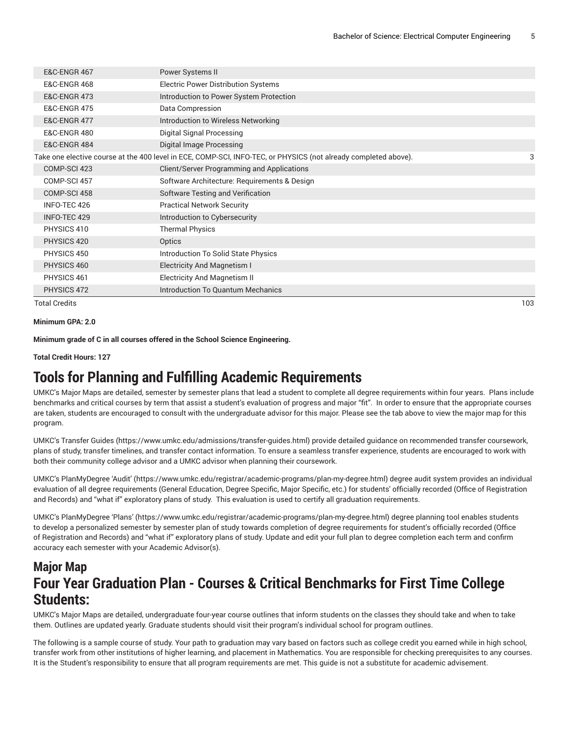| <b>E&amp;C-ENGR 467</b> | Power Systems II                                                                                                |     |
|-------------------------|-----------------------------------------------------------------------------------------------------------------|-----|
| <b>E&amp;C-ENGR 468</b> | <b>Electric Power Distribution Systems</b>                                                                      |     |
| <b>E&amp;C-ENGR 473</b> | Introduction to Power System Protection                                                                         |     |
| <b>E&amp;C-ENGR 475</b> | Data Compression                                                                                                |     |
| <b>E&amp;C-ENGR 477</b> | Introduction to Wireless Networking                                                                             |     |
| <b>E&amp;C-ENGR 480</b> | Digital Signal Processing                                                                                       |     |
| <b>E&amp;C-ENGR 484</b> | Digital Image Processing                                                                                        |     |
|                         | Take one elective course at the 400 level in ECE, COMP-SCI, INFO-TEC, or PHYSICS (not already completed above). | 3   |
| COMP-SCI 423            | <b>Client/Server Programming and Applications</b>                                                               |     |
| COMP-SCI 457            | Software Architecture: Requirements & Design                                                                    |     |
| COMP-SCI 458            | Software Testing and Verification                                                                               |     |
| INFO-TEC 426            | <b>Practical Network Security</b>                                                                               |     |
| INFO-TEC 429            | Introduction to Cybersecurity                                                                                   |     |
| PHYSICS 410             | <b>Thermal Physics</b>                                                                                          |     |
| PHYSICS 420             | Optics                                                                                                          |     |
| PHYSICS 450             | Introduction To Solid State Physics                                                                             |     |
| PHYSICS 460             | <b>Electricity And Magnetism I</b>                                                                              |     |
| PHYSICS 461             | <b>Electricity And Magnetism II</b>                                                                             |     |
| PHYSICS 472             | Introduction To Quantum Mechanics                                                                               |     |
| <b>Total Credits</b>    |                                                                                                                 | 103 |

```
Minimum GPA: 2.0
```
**Minimum grade of C in all courses offered in the School Science Engineering.**

**Total Credit Hours: 127**

### **Tools for Planning and Fulfilling Academic Requirements**

UMKC's Major Maps are detailed, semester by semester plans that lead a student to complete all degree requirements within four years. Plans include benchmarks and critical courses by term that assist a student's evaluation of progress and major "fit". In order to ensure that the appropriate courses are taken, students are encouraged to consult with the undergraduate advisor for this major. Please see the tab above to view the major map for this program.

UMKC's [Transfer](https://www.umkc.edu/admissions/transfer-guides.html) Guides [\(https://www.umkc.edu/admissions/transfer-guides.html](https://www.umkc.edu/admissions/transfer-guides.html)) provide detailed guidance on recommended transfer coursework, plans of study, transfer timelines, and transfer contact information. To ensure a seamless transfer experience, students are encouraged to work with both their community college advisor and a UMKC advisor when planning their coursework.

UMKC's [PlanMyDegree](https://www.umkc.edu/registrar/academic-programs/plan-my-degree.html) 'Audit' ([https://www.umkc.edu/registrar/academic-programs/plan-my-degree.html\)](https://www.umkc.edu/registrar/academic-programs/plan-my-degree.html) degree audit system provides an individual evaluation of all degree requirements (General Education, Degree Specific, Major Specific, etc.) for students' officially recorded (Office of Registration and Records) and "what if" exploratory plans of study. This evaluation is used to certify all graduation requirements.

UMKC's [PlanMyDegree](https://www.umkc.edu/registrar/academic-programs/plan-my-degree.html) 'Plans' [\(https://www.umkc.edu/registrar/academic-programs/plan-my-degree.html\)](https://www.umkc.edu/registrar/academic-programs/plan-my-degree.html) degree planning tool enables students to develop a personalized semester by semester plan of study towards completion of degree requirements for student's officially recorded (Office of Registration and Records) and "what if" exploratory plans of study. Update and edit your full plan to degree completion each term and confirm accuracy each semester with your Academic Advisor(s).

### **Major Map Four Year Graduation Plan - Courses & Critical Benchmarks for First Time College Students:**

UMKC's Major Maps are detailed, undergraduate four-year course outlines that inform students on the classes they should take and when to take them. Outlines are updated yearly. Graduate students should visit their program's individual school for program outlines.

The following is a sample course of study. Your path to graduation may vary based on factors such as college credit you earned while in high school, transfer work from other institutions of higher learning, and placement in Mathematics. You are responsible for checking prerequisites to any courses. It is the Student's responsibility to ensure that all program requirements are met. This guide is not a substitute for academic advisement.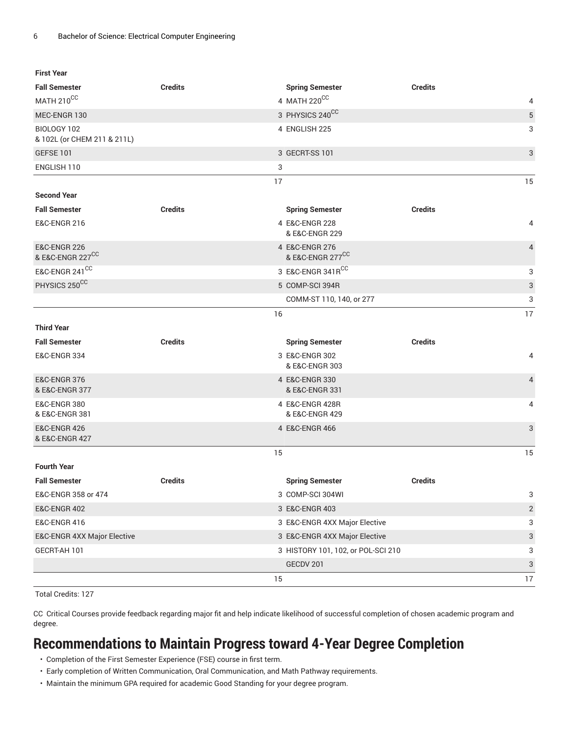**First Year**

| <b>Fall Semester</b>                                    | <b>Credits</b> |    | <b>Spring Semester</b>             | <b>Credits</b> |                |
|---------------------------------------------------------|----------------|----|------------------------------------|----------------|----------------|
| MATH 210CC                                              |                |    | 4 MATH 220CC                       |                | 4              |
| MEC-ENGR 130                                            |                |    | 3 PHYSICS 240CC                    |                | 5              |
| BIOLOGY 102<br>& 102L (or CHEM 211 & 211L)              |                |    | 4 ENGLISH 225                      |                | 3              |
| GEFSE 101                                               |                |    | 3 GECRT-SS 101                     |                | 3              |
| ENGLISH 110                                             |                | 3  |                                    |                |                |
|                                                         |                | 17 |                                    |                | 15             |
| <b>Second Year</b>                                      |                |    |                                    |                |                |
| <b>Fall Semester</b>                                    | <b>Credits</b> |    | <b>Spring Semester</b>             | <b>Credits</b> |                |
| <b>E&amp;C-ENGR 216</b>                                 |                |    | 4 E&C-ENGR 228<br>& E&C-ENGR 229   |                | 4              |
| <b>E&amp;C-ENGR 226</b><br>& E&C-ENGR 227 <sup>CC</sup> |                |    | 4 E&C-ENGR 276<br>& E&C-ENGR 277CC |                | $\overline{4}$ |
| E&C-ENGR 241 <sup>CC</sup>                              |                |    | 3 E&C-ENGR 341RCC                  |                | 3              |
| PHYSICS 250CC                                           |                |    | 5 COMP-SCI 394R                    |                | 3              |
|                                                         |                |    | COMM-ST 110, 140, or 277           |                | 3              |
|                                                         |                | 16 |                                    |                | 17             |
| <b>Third Year</b>                                       |                |    |                                    |                |                |
| <b>Fall Semester</b>                                    | <b>Credits</b> |    | <b>Spring Semester</b>             | <b>Credits</b> |                |
| <b>E&amp;C-ENGR 334</b>                                 |                |    | 3 E&C-ENGR 302<br>& E&C-ENGR 303   |                | 4              |
| <b>E&amp;C-ENGR 376</b><br>& E&C-ENGR 377               |                |    | 4 E&C-ENGR 330<br>& E&C-ENGR 331   |                | $\overline{4}$ |
| <b>E&amp;C-ENGR 380</b><br>& E&C-ENGR 381               |                |    | 4 E&C-ENGR 428R<br>& E&C-ENGR 429  |                | 4              |
| <b>E&amp;C-ENGR 426</b><br>& E&C-ENGR 427               |                |    | 4 E&C-ENGR 466                     |                | 3              |
|                                                         |                | 15 |                                    |                | 15             |
| <b>Fourth Year</b>                                      |                |    |                                    |                |                |
| <b>Fall Semester</b>                                    | <b>Credits</b> |    | <b>Spring Semester</b>             | <b>Credits</b> |                |
| E&C-ENGR 358 or 474                                     |                |    | 3 COMP-SCI 304WI                   |                | 3              |
|                                                         |                |    |                                    |                |                |
| <b>E&amp;C-ENGR 402</b>                                 |                |    | 3 E&C-ENGR 403                     |                | $\overline{c}$ |
| <b>E&amp;C-ENGR 416</b>                                 |                |    | 3 E&C-ENGR 4XX Major Elective      |                | 3              |
| E&C-ENGR 4XX Major Elective                             |                |    | 3 E&C-ENGR 4XX Major Elective      |                | 3              |
| GECRT-AH 101                                            |                |    | 3 HISTORY 101, 102, or POL-SCI 210 |                | 3              |
|                                                         |                |    | GECDV 201                          |                | 3              |

Total Credits: 127

CC Critical Courses provide feedback regarding major fit and help indicate likelihood of successful completion of chosen academic program and degree.

# **Recommendations to Maintain Progress toward 4-Year Degree Completion**

- Completion of the First Semester Experience (FSE) course in first term.
- Early completion of Written Communication, Oral Communication, and Math Pathway requirements.
- Maintain the minimum GPA required for academic Good Standing for your degree program.